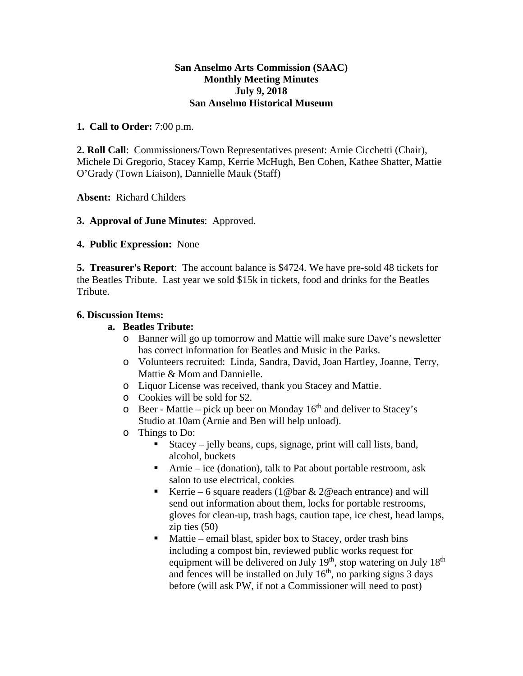### **San Anselmo Arts Commission (SAAC) Monthly Meeting Minutes July 9, 2018 San Anselmo Historical Museum**

## **1. Call to Order:** 7:00 p.m.

**2. Roll Call**: Commissioners/Town Representatives present: Arnie Cicchetti (Chair), Michele Di Gregorio, Stacey Kamp, Kerrie McHugh, Ben Cohen, Kathee Shatter, Mattie O'Grady (Town Liaison), Dannielle Mauk (Staff)

**Absent:** Richard Childers

# **3. Approval of June Minutes**: Approved.

**4. Public Expression:** None

**5. Treasurer's Report**: The account balance is \$4724. We have pre-sold 48 tickets for the Beatles Tribute. Last year we sold \$15k in tickets, food and drinks for the Beatles Tribute.

### **6. Discussion Items:**

## **a. Beatles Tribute:**

- o Banner will go up tomorrow and Mattie will make sure Dave's newsletter has correct information for Beatles and Music in the Parks.
- o Volunteers recruited: Linda, Sandra, David, Joan Hartley, Joanne, Terry, Mattie & Mom and Dannielle.
- o Liquor License was received, thank you Stacey and Mattie.
- o Cookies will be sold for \$2.
- $\circ$  Beer Mattie pick up beer on Monday 16<sup>th</sup> and deliver to Stacey's Studio at 10am (Arnie and Ben will help unload).
- o Things to Do:
	- Stacey jelly beans, cups, signage, print will call lists, band, alcohol, buckets
	- Arnie ice (donation), talk to Pat about portable restroom, ask salon to use electrical, cookies
	- Kerrie 6 square readers (1@bar  $& 2@$ each entrance) and will send out information about them, locks for portable restrooms, gloves for clean-up, trash bags, caution tape, ice chest, head lamps, zip ties (50)
	- Mattie email blast, spider box to Stacey, order trash bins including a compost bin, reviewed public works request for equipment will be delivered on July 19<sup>th</sup>, stop watering on July 18<sup>th</sup> and fences will be installed on July  $16<sup>th</sup>$ , no parking signs 3 days before (will ask PW, if not a Commissioner will need to post)